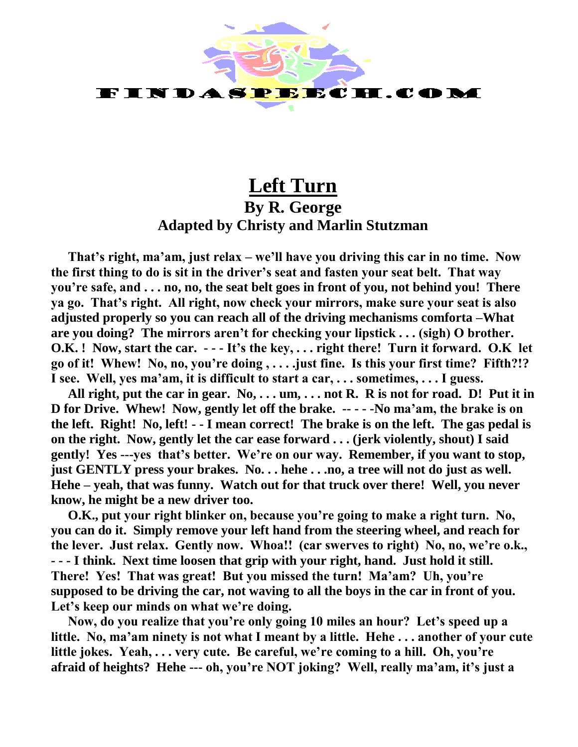

## **Left Turn By R. George Adapted by Christy and Marlin Stutzman**

**That's right, ma'am, just relax – we'll have you driving this car in no time. Now the first thing to do is sit in the driver's seat and fasten your seat belt. That way you're safe, and . . . no, no, the seat belt goes in front of you, not behind you! There ya go. That's right. All right, now check your mirrors, make sure your seat is also adjusted properly so you can reach all of the driving mechanisms comforta –What are you doing? The mirrors aren't for checking your lipstick . . . (sigh) O brother. O.K. ! Now, start the car. - - - It's the key, . . . right there! Turn it forward. O.K let go of it! Whew! No, no, you're doing , . . . .just fine. Is this your first time? Fifth?!? I see. Well, yes ma'am, it is difficult to start a car, . . . sometimes, . . . I guess.** 

**All right, put the car in gear. No, . . . um, . . . not R. R is not for road. D! Put it in D for Drive. Whew! Now, gently let off the brake. -- - - -No ma'am, the brake is on the left. Right! No, left! - - I mean correct! The brake is on the left. The gas pedal is on the right. Now, gently let the car ease forward . . . (jerk violently, shout) I said gently! Yes ---yes that's better. We're on our way. Remember, if you want to stop, just GENTLY press your brakes. No. . . hehe . . .no, a tree will not do just as well. Hehe – yeah, that was funny. Watch out for that truck over there! Well, you never know, he might be a new driver too.** 

**O.K., put your right blinker on, because you're going to make a right turn. No, you can do it. Simply remove your left hand from the steering wheel, and reach for the lever. Just relax. Gently now. Whoa!! (car swerves to right) No, no, we're o.k., - - - I think. Next time loosen that grip with your right, hand. Just hold it still. There! Yes! That was great! But you missed the turn! Ma'am? Uh, you're supposed to be driving the car, not waving to all the boys in the car in front of you. Let's keep our minds on what we're doing.** 

**Now, do you realize that you're only going 10 miles an hour? Let's speed up a little. No, ma'am ninety is not what I meant by a little. Hehe . . . another of your cute little jokes. Yeah, . . . very cute. Be careful, we're coming to a hill. Oh, you're afraid of heights? Hehe --- oh, you're NOT joking? Well, really ma'am, it's just a**